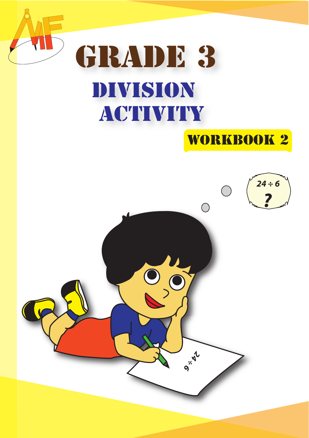

# workbook 2 GRADE 3 DIVISION **ACTIVITY**

## **24 ÷ 6 ?**

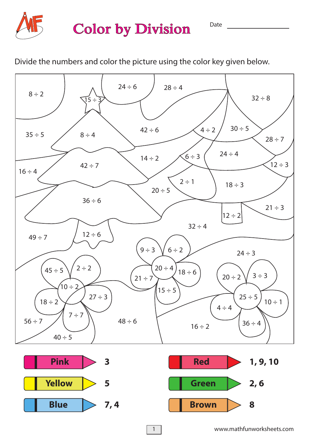

#### **Color by Division**

Divide the numbers and color the picture using the color key given below.



www.mathfunworksheets.com

Date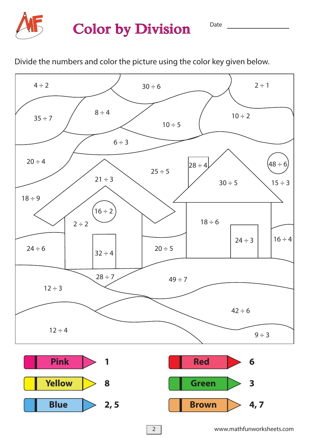

### **Color by Division**

Divide the numbers and color the picture using the color key given below.



Date <u>and the set of the set of the set of the set of the set of the set of the set of the set of the set of the set of the set of the set of the set of the set of the set of the set of the set of the set of the set of the</u>

2

**Blue**  $\geq 2, 5$  **Brown**  $\geq 4, 7$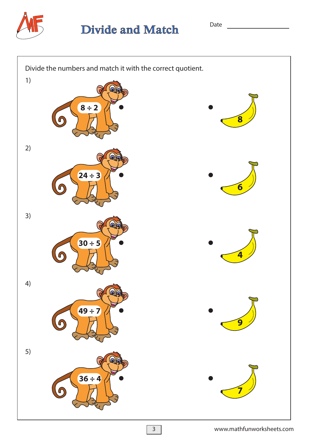

**Divide and Match** 

Date

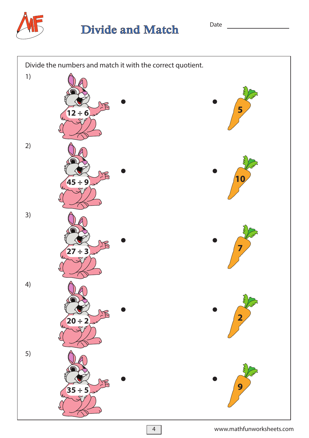

#### **Divide and Match**

Divide the numbers and match it with the correct quotient. 1) **5 12 ÷ 6** 2) **10 45 ÷ 9** 3) **7 27 ÷ 3** 4) **2 20 ÷ 2** 5) **9 35 ÷ 5**

#### www.mathfunworksheets.com

Date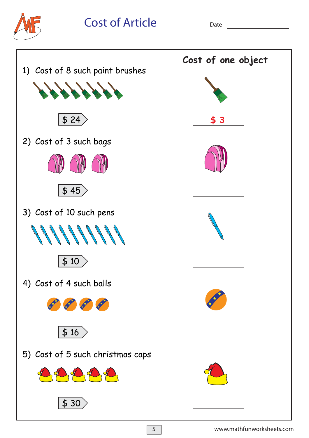

**Cost of Article**

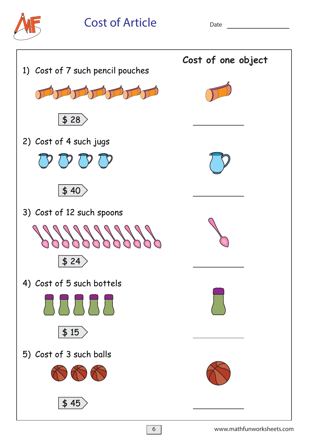

Cost of Article Date <u>Date</u>

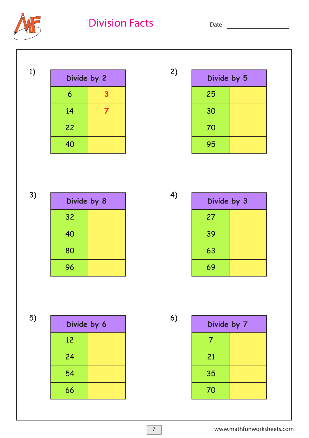**Division Facts**

Date



| Divide by 2 |   | 2) | Divide by 5 |  |
|-------------|---|----|-------------|--|
| 6           | 3 |    | 25          |  |
| 14          |   |    | 30          |  |
| 22          |   |    | 70          |  |
| 40          |   |    | 95          |  |

3)

| Divide by 8    |  |
|----------------|--|
| 3 <sup>2</sup> |  |
| 40             |  |
| 80             |  |
| 96             |  |

| Divide by 3 |  |
|-------------|--|
| 27          |  |
| 39          |  |
| 63          |  |
| 69          |  |

5)

| Divide by 6 |  |  |
|-------------|--|--|
| 12          |  |  |
| 24          |  |  |
| 54          |  |  |
| 66          |  |  |

6)

| Divide by 7 |  |  |
|-------------|--|--|
|             |  |  |
| 21          |  |  |
| 35          |  |  |
| 70          |  |  |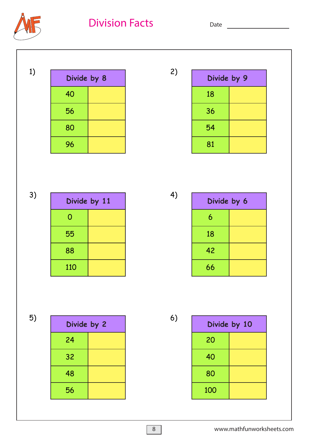**Division Facts** Date **Date** 



| 1) | Divide by 8 | 2) | Divide by 9 |  |
|----|-------------|----|-------------|--|
|    | 40          |    | 18          |  |
|    | 56          |    | 36          |  |
|    | 80          |    | 54          |  |
|    | 96          |    | 81          |  |
|    |             |    |             |  |

| 3) | Divide by 11 |  | 4) |
|----|--------------|--|----|
|    | 0            |  |    |
|    | 55           |  |    |
|    | 88           |  |    |
|    | 110          |  |    |

| × |  |
|---|--|

| Divide by 6 |  |
|-------------|--|
| 6           |  |
| 18          |  |
| 42          |  |
| 66          |  |

5)

| Divide by 2 |  |  |
|-------------|--|--|
| 24          |  |  |
| 32          |  |  |
| 48          |  |  |
| 56          |  |  |

6)

| Divide by 10 |  |  |
|--------------|--|--|
| 20           |  |  |
| 40           |  |  |
| 80           |  |  |
| 100          |  |  |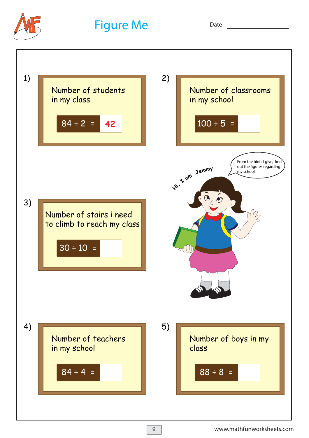

**Figure Me**

Date **Date** 

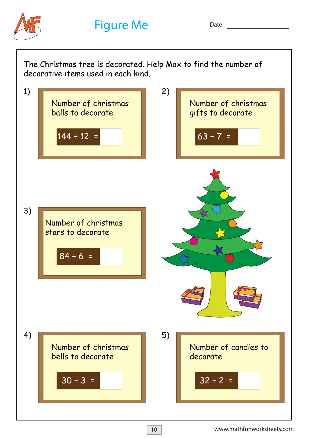

**Figure Me** Date

3) Number of christmas stars to decorate  $84 \div 6 =$ 1) Number of christmas balls to decorate The Christmas tree is decorated. Help Max to find the number of decorative items used in each kind.  $144 \div 12 =$ 2) Number of christmas gifts to decorate  $63 \div 7 =$ 4) Number of christmas bells to decorate  $30 \div 3 =$ 5) Number of candies to decorate  $32 \div 2 =$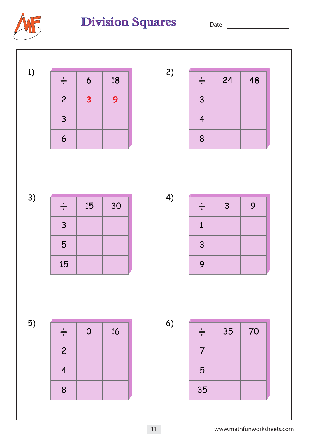

### Division Squares Date \_\_\_\_\_\_\_\_\_

1)

| ♦              | 6 | 18 |
|----------------|---|----|
| $\overline{2}$ | 3 | 9  |
| 3              |   |    |
| 6              |   |    |

3)

| ÷  | 15 | 30 |
|----|----|----|
| 3  |    |    |
| 5  |    |    |
| 15 |    |    |

4)

2)

| ÷            | $\mathbf{3}$ | 9 |
|--------------|--------------|---|
| $\mathbf{1}$ |              |   |
| 3            |              |   |
| 9            |              |   |

5)

| ÷              | $\mathsf{O}$ | 16 |
|----------------|--------------|----|
| $\overline{2}$ |              |    |
| 4              |              |    |
| 8              |              |    |

6)

| $\div$                | 35 | 70 |
|-----------------------|----|----|
| $\boldsymbol{\theta}$ |    |    |
| 5                     |    |    |
| 35                    |    |    |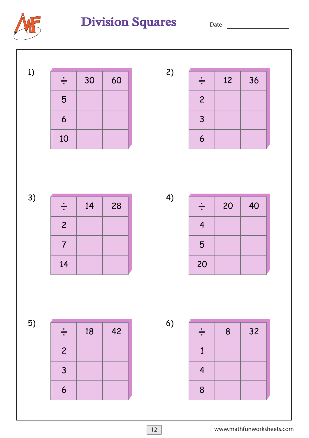

### Division Squares Date \_\_\_\_\_\_\_\_\_

1)

| ∸  | 30 | 60 |
|----|----|----|
| 5  |    |    |
| 6  |    |    |
| 10 |    |    |

 $\div$  12 36 

3)

| ÷                   | 14 | 28 |
|---------------------|----|----|
| $\overline{c}$      |    |    |
| $\boldsymbol{\eta}$ |    |    |
| 14                  |    |    |

4)

2)

| ÷  | 20 | 40 |
|----|----|----|
| 4  |    |    |
| 5  |    |    |
| 20 |    |    |

5)

| ₩              | 18 | 42 |
|----------------|----|----|
| $\overline{2}$ |    |    |
| 3              |    |    |
| 6              |    |    |

6)

| ÷            | 8 | 32 |
|--------------|---|----|
| $\mathbf{1}$ |   |    |
| 4            |   |    |
| 8            |   |    |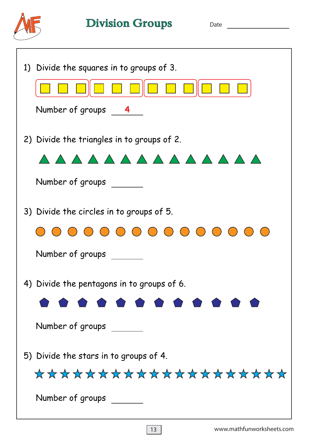

Division Groups Date \_\_\_\_\_\_\_\_\_

ī.

| 1) Divide the squares in to groups of 3.<br>$\begin{array}{ c c c c }\hline \textbf{1} & \textbf{1} & \textbf{1} \end{array}$<br>$\Box$ $\Box$<br>Number of groups 4 |
|----------------------------------------------------------------------------------------------------------------------------------------------------------------------|
| 2) Divide the triangles in to groups of 2.<br>AAAAAAAAAAAAAA<br>Number of groups                                                                                     |
| 3) Divide the circles in to groups of 5.<br>0 0 0 0 0 0 0 0 0 0 0 0 0 0 0<br>Number of groups                                                                        |
| 4) Divide the pentagons in to groups of 6.<br>.<br>Number of groups                                                                                                  |
| 5) Divide the stars in to groups of 4.<br>********************<br>Number of groups                                                                                   |